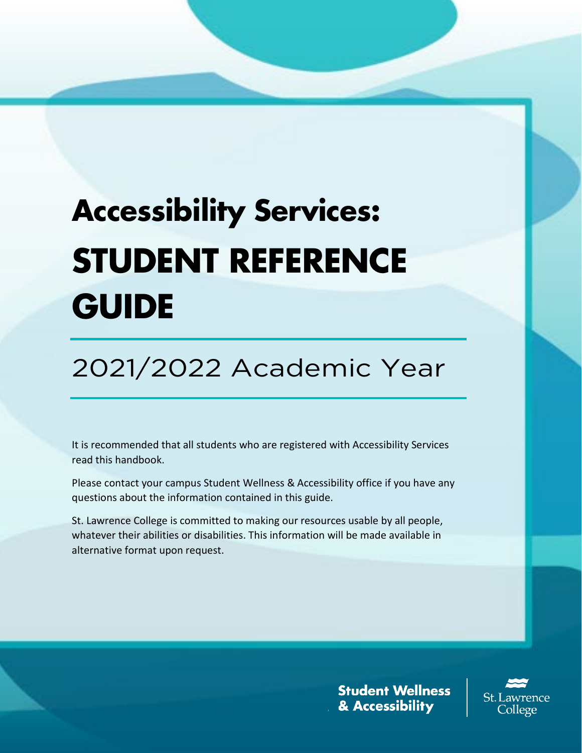# **Accessibility Services: STUDENT REFERENCE GUIDE**

2021/2022 Academic Year

It is recommended that all students who are registered with Accessibility Services read this handbook.

Please contact your campus Student Wellness & Accessibility office if you have any questions about the information contained in this guide.

St. Lawrence College is committed to making our resources usable by all people, whatever their abilities or disabilities. This information will be made available in alternative format upon request.

> **Student Wellness** & Accessibility

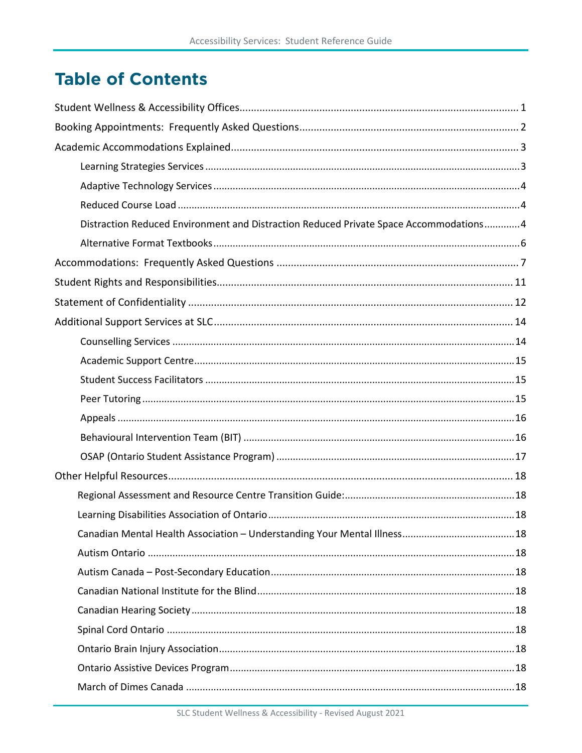# **Table of Contents**

| Distraction Reduced Environment and Distraction Reduced Private Space Accommodations4 |
|---------------------------------------------------------------------------------------|
|                                                                                       |
|                                                                                       |
|                                                                                       |
|                                                                                       |
|                                                                                       |
|                                                                                       |
|                                                                                       |
|                                                                                       |
|                                                                                       |
|                                                                                       |
|                                                                                       |
|                                                                                       |
|                                                                                       |
|                                                                                       |
|                                                                                       |
|                                                                                       |
|                                                                                       |
|                                                                                       |
|                                                                                       |
|                                                                                       |
|                                                                                       |
|                                                                                       |
|                                                                                       |
|                                                                                       |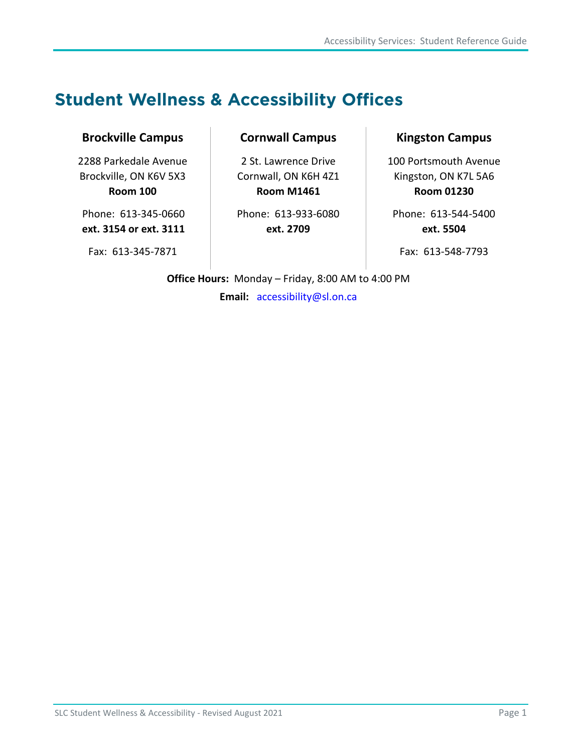# <span id="page-4-0"></span>**Student Wellness & Accessibility Offices**

#### **Brockville Campus**

2288 Parkedale Avenue Brockville, ON K6V 5X3 **Room 100**

Phone: 613-345-0660 **ext. 3154 or ext. 3111**

Fax: 613-345-7871

#### **Cornwall Campus**

2 St. Lawrence Drive Cornwall, ON K6H 4Z1 **Room M1461**

Phone: 613-933-6080 **ext. 2709**

#### **Kingston Campus**

100 Portsmouth Avenue Kingston, ON K7L 5A6 **Room 01230**

Phone: 613-544-5400 **ext. 5504**

Fax: 613-548-7793

**Office Hours:** Monday – Friday, 8:00 AM to 4:00 PM

**Email:** [accessibility@sl.on.ca](mailto:accessibility@sl.on.ca)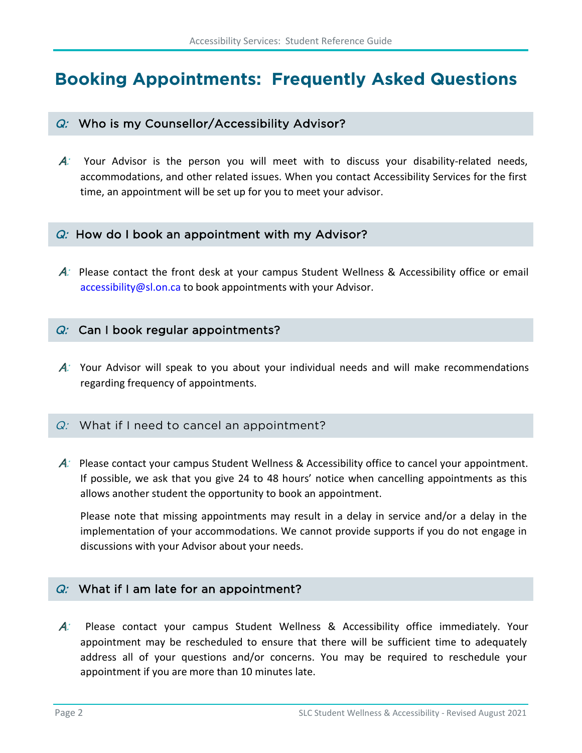# <span id="page-5-0"></span>**Booking Appointments: Frequently Asked Questions**

#### $Q$ : Who is my Counsellor/Accessibility Advisor?

 $A$ : Your Advisor is the person you will meet with to discuss your disability-related needs, accommodations, and other related issues. When you contact Accessibility Services for the first time, an appointment will be set up for you to meet your advisor.

#### $Q$ : How do I book an appointment with my Advisor?

A: Please contact the front desk at your campus Student Wellness & Accessibility office or email [accessibility@sl.on.ca](mailto:accessibility@sl.on.ca) to book appointments with your Advisor.

#### $Q:$  Can I book regular appointments?

 $A$ : Your Advisor will speak to you about your individual needs and will make recommendations regarding frequency of appointments.

#### $Q:$  What if I need to cancel an appointment?

A: Please contact your campus Student Wellness & Accessibility office to cancel your appointment. If possible, we ask that you give 24 to 48 hours' notice when cancelling appointments as this allows another student the opportunity to book an appointment.

Please note that missing appointments may result in a delay in service and/or a delay in the implementation of your accommodations. We cannot provide supports if you do not engage in discussions with your Advisor about your needs.

#### $Q:$  What if I am late for an appointment?

A: Please contact your campus Student Wellness & Accessibility office immediately. Your appointment may be rescheduled to ensure that there will be sufficient time to adequately address all of your questions and/or concerns. You may be required to reschedule your appointment if you are more than 10 minutes late.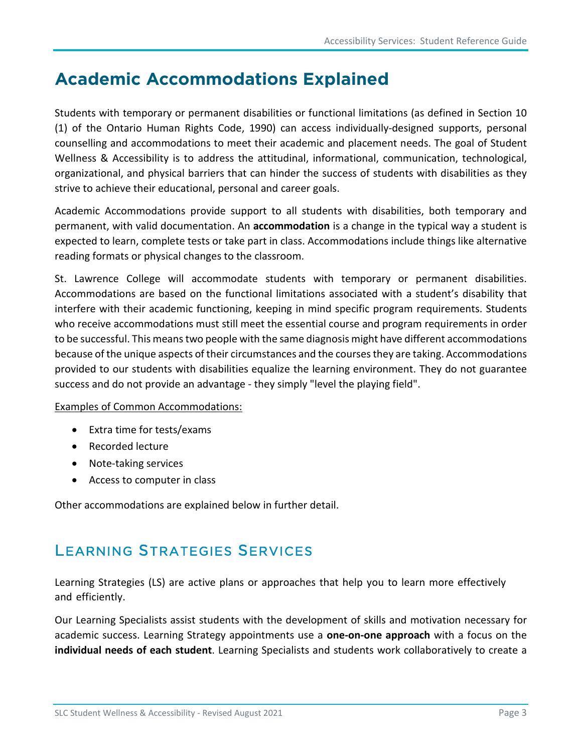# <span id="page-6-0"></span>**Academic Accommodations Explained**

Students with temporary or permanent disabilities or functional limitations (as defined in Section 10 (1) of the Ontario Human Rights Code, 1990) can access individually-designed supports, personal counselling and accommodations to meet their academic and placement needs. The goal of Student Wellness & Accessibility is to address the attitudinal, informational, communication, technological, organizational, and physical barriers that can hinder the success of students with disabilities as they strive to achieve their educational, personal and career goals.

Academic Accommodations provide support to all students with disabilities, both temporary and permanent, with valid documentation. An **accommodation** is a change in the typical way a student is expected to learn, complete tests or take part in class. Accommodations include things like alternative reading formats or physical changes to the classroom.

St. Lawrence College will accommodate students with temporary or permanent disabilities. Accommodations are based on the functional limitations associated with a student's disability that interfere with their academic functioning, keeping in mind specific program requirements. Students who receive accommodations must still meet the essential course and program requirements in order to be successful. This means two people with the same diagnosis might have different accommodations because of the unique aspects of their circumstances and the courses they are taking. Accommodations provided to our students with disabilities equalize the learning environment. They do not guarantee success and do not provide an advantage - they simply "level the playing field".

#### Examples of Common Accommodations:

- Extra time for tests/exams
- Recorded lecture
- Note-taking services
- Access to computer in class

Other accommodations are explained below in further detail.

### <span id="page-6-1"></span>LEARNING S[TRATEGIES](https://www.stlawrencecollege.ca/campuses-and-services/services-and-facilities/accessibility/our-services/learning-strategies/) SERVICES

Learning Strategies (LS) are active plans or approaches that help you to learn more effectively and efficiently.

Our Learning Specialists assist students with the development of skills and motivation necessary for academic success. Learning Strategy appointments use a **one-on-one approach** with a focus on the **individual needs of each student**. Learning Specialists and students work collaboratively to create a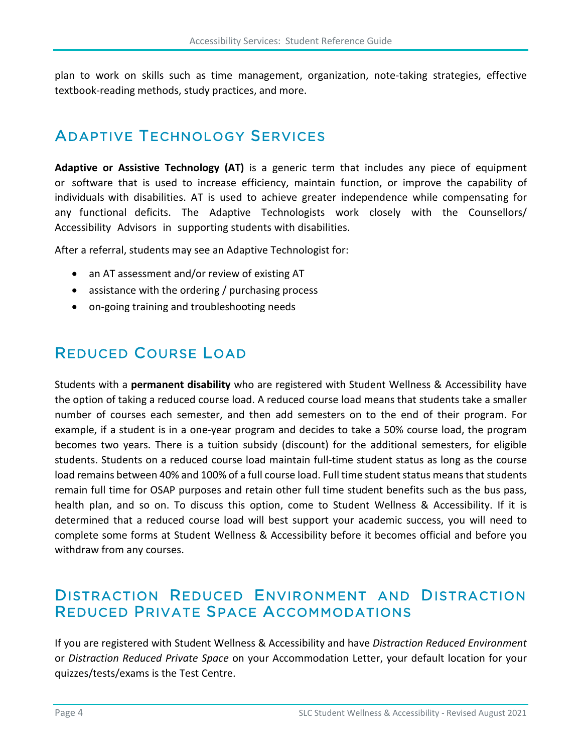plan to work on skills such as time management, organization, note-taking strategies, effective textbook-reading methods, study practices, and more.

### <span id="page-7-0"></span>ADAPTIVE T[ECHNOLOGY](https://www.stlawrencecollege.ca/campuses-and-services/services-and-facilities/accessibility/our-services/adaptive-technology-training/) SERVICES

**Adaptive or Assistive Technology (AT)** is a generic term that includes any piece of equipment or software that is used to increase efficiency, maintain function, or improve the capability of individuals with disabilities. AT is used to achieve greater independence while compensating for any functional deficits. The Adaptive Technologists work closely with the Counsellors/ Accessibility Advisors in supporting students with disabilities.

After a referral, students may see an Adaptive Technologist for:

- an AT assessment and/or review of existing AT
- assistance with the ordering / purchasing process
- on-going training and troubleshooting needs

### <span id="page-7-1"></span>REDUCED COURSE LOAD

Students with a **permanent disability** who are registered with Student Wellness & Accessibility have the option of taking a reduced course load. A reduced course load means that students take a smaller number of courses each semester, and then add semesters on to the end of their program. For example, if a student is in a one-year program and decides to take a 50% course load, the program becomes two years. There is a tuition subsidy (discount) for the additional semesters, for eligible students. Students on a reduced course load maintain full-time student status as long as the course load remains between 40% and 100% of a full course load. Full time student status means that students remain full time for OSAP purposes and retain other full time student benefits such as the bus pass, health plan, and so on. To discuss this option, come to Student Wellness & Accessibility. If it is determined that a reduced course load will best support your academic success, you will need to complete some forms at Student Wellness & Accessibility before it becomes official and before you withdraw from any courses.

### <span id="page-7-2"></span>DISTRACTION REDUCED ENVIRONMENT AND DISTRACTION REDUCED PRIVATE SPACE ACCOMMODATIONS

If you are registered with Student Wellness & Accessibility and have *Distraction Reduced Environment* or *Distraction Reduced Private Space* on your Accommodation Letter, your default location for your quizzes/tests/exams is the Test Centre.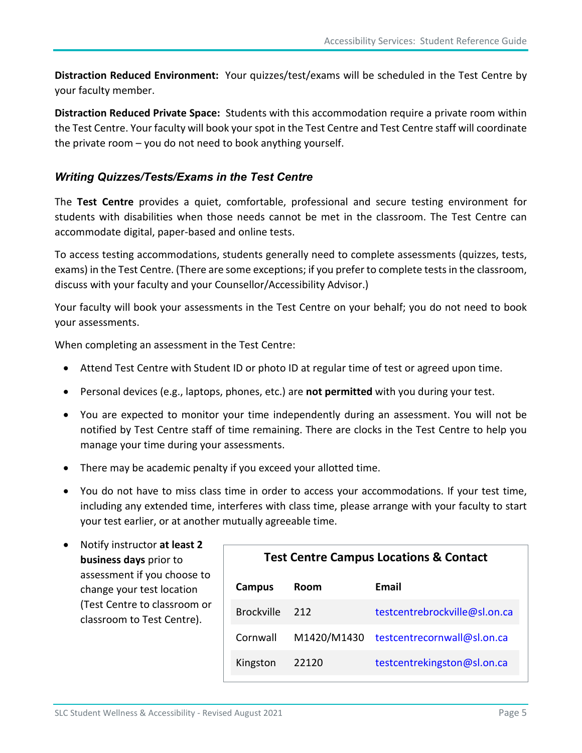**Distraction Reduced Environment:** Your quizzes/test/exams will be scheduled in the Test Centre by your faculty member.

**Distraction Reduced Private Space:** Students with this accommodation require a private room within the Test Centre. Your faculty will book your spot in the Test Centre and Test Centre staff will coordinate the private room – you do not need to book anything yourself.

#### *Writing Quizzes/Tests/Exams in the Test Centre*

The **Test Centre** provides a quiet, comfortable, professional and secure testing environment for students with disabilities when those needs cannot be met in the classroom. The Test Centre can accommodate digital, paper-based and online tests.

To access testing accommodations, students generally need to complete assessments (quizzes, tests, exams) in the Test Centre. (There are some exceptions; if you prefer to complete tests in the classroom, discuss with your faculty and your Counsellor/Accessibility Advisor.)

Your faculty will book your assessments in the Test Centre on your behalf; you do not need to book your assessments.

When completing an assessment in the Test Centre:

- Attend Test Centre with Student ID or photo ID at regular time of test or agreed upon time.
- Personal devices (e.g., laptops, phones, etc.) are **not permitted** with you during your test.
- You are expected to monitor your time independently during an assessment. You will not be notified by Test Centre staff of time remaining. There are clocks in the Test Centre to help you manage your time during your assessments.
- There may be academic penalty if you exceed your allotted time.
- You do not have to miss class time in order to access your accommodations. If your test time, including any extended time, interferes with class time, please arrange with your faculty to start your test earlier, or at another mutually agreeable time.

| Notify instructor at least 2 |  |  |  |
|------------------------------|--|--|--|
| business days prior to       |  |  |  |
| assessment if you choose to  |  |  |  |
| change your test location    |  |  |  |
| (Test Centre to classroom or |  |  |  |
| classroom to Test Centre).   |  |  |  |

| <b>Test Centre Campus Locations &amp; Contact</b> |             |                               |  |
|---------------------------------------------------|-------------|-------------------------------|--|
| Campus                                            | Room        | Email                         |  |
| <b>Brockville</b>                                 | 212         | testcentrebrockville@sl.on.ca |  |
| Cornwall                                          | M1420/M1430 | testcentrecornwall@sl.on.ca   |  |
| Kingston                                          | 22120       | testcentrekingston@sl.on.ca   |  |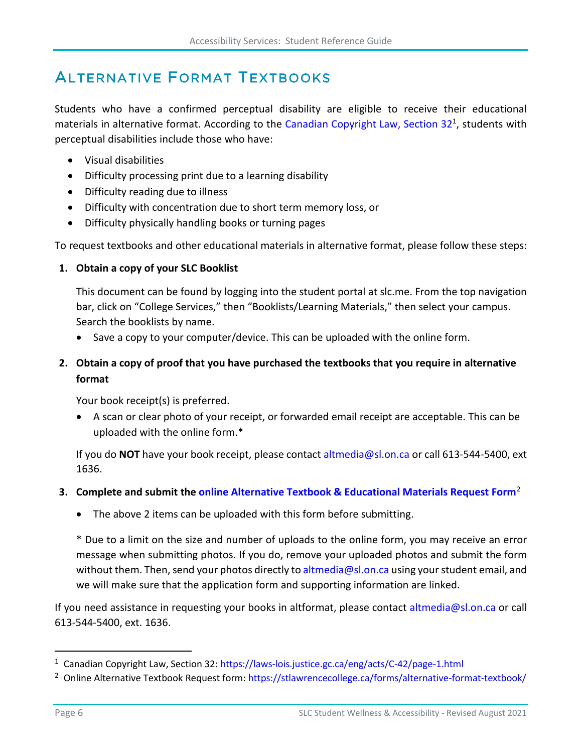# <span id="page-9-0"></span>ALTERNATIVE FORMAT TEXTBOOKS

Students who have a confirmed perceptual disability are eligible to receive their educational materials in alternative format. According to the [Canadian Copyright Law, Section 32](https://laws-lois.justice.gc.ca/eng/acts/C-42/page-1.html?txthl=perceptual+disability#s-2)<sup>[1](#page-9-1)</sup>, students with perceptual disabilities include those who have:

- Visual disabilities
- Difficulty processing print due to a learning disability
- Difficulty reading due to illness
- Difficulty with concentration due to short term memory loss, or
- Difficulty physically handling books or turning pages

To request textbooks and other educational materials in alternative format, please follow these steps:

#### **1. Obtain a copy of your SLC Booklist**

This document can be found by logging into the student portal a[t slc.me.](https://slc.me/+CSCOE+/logon.html) From the top navigation bar, click on "College Services," then "Booklists/Learning Materials," then select your campus. Search the booklists by name.

• Save a copy to your computer/device. This can be uploaded with the online form.

#### **2. Obtain a copy of proof that you have purchased the textbooks that you require in alternative format**

Your book receipt(s) is preferred.

• A scan or clear photo of your receipt, or forwarded email receipt are acceptable. This can be uploaded with the online form.\*

If you do **NOT** have your book receipt, please contact [altmedia@sl.on.ca](mailto:altmedia@sl.on.ca) or call 613-544-5400, ext 1636.

#### **3. Complete and submit the [online Alternative Textbook & Educational Materials Request Form](https://stlawrencecollege.ca/forms/alternative-format-textbook/)**[2](#page-9-2)

• The above 2 items can be uploaded with this form before submitting.

\* Due to a limit on the size and number of uploads to the online form, you may receive an error message when submitting photos. If you do, remove your uploaded photos and submit the form without them. Then, send your photos directly to [altmedia@sl.on.ca](mailto:altmedia@sl.on.ca) using your student email, and we will make sure that the application form and supporting information are linked.

If you need assistance in requesting your books in altformat, please contact [altmedia@sl.on.ca](mailto:altmedia@sl.on.ca) or call 613-544-5400, ext. 1636.

<span id="page-9-2"></span><span id="page-9-1"></span>

<sup>&</sup>lt;sup>1</sup> Canadian Copyright Law, Section 32: https://laws-lois.justice.gc.ca/eng/acts/C-42/page-1.html<br><sup>2</sup> Online Alternative Textbook Request form:<https://stlawrencecollege.ca/forms/alternative-format-textbook/>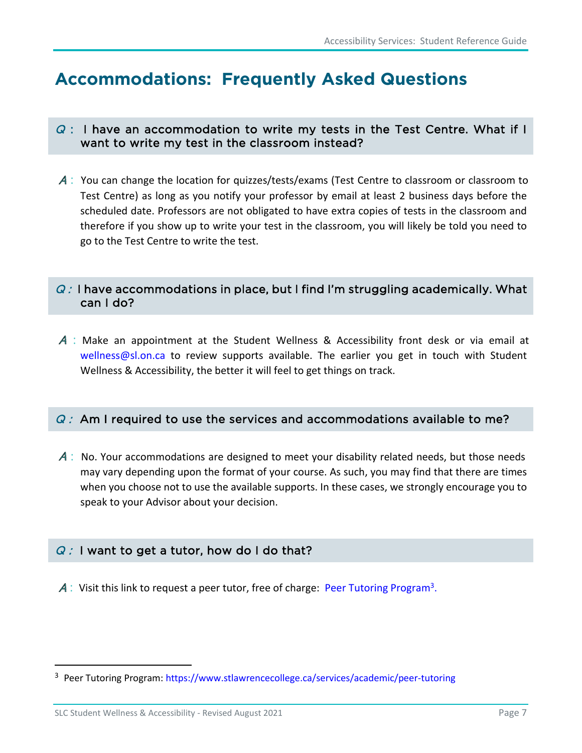# <span id="page-10-0"></span>**Accommodations: Frequently Asked Questions**

#### $Q$ : I have an accommodation to write my tests in the Test Centre. What if I want to write my test in the classroom instead?

A: You can change the location for quizzes/tests/exams (Test Centre to classroom or classroom to Test Centre) as long as you notify your professor by email at least 2 business days before the scheduled date. Professors are not obligated to have extra copies of tests in the classroom and therefore if you show up to write your test in the classroom, you will likely be told you need to go to the Test Centre to write the test.

#### $Q$ : I have accommodations in place, but I find I'm struggling academically. What can I do?

<sup>A</sup> : Make an appointment at the Student Wellness & Accessibility front desk or via email at [wellness@sl.on.ca](mailto:wellness@sl.on.ca) to review supports available. The earlier you get in touch with Student Wellness & Accessibility, the better it will feel to get things on track.

#### $Q$ : Am I required to use the services and accommodations available to me?

 $\mathcal A$ : No. Your accommodations are designed to meet your disability related needs, but those needs may vary depending upon the format of your course. As such, you may find that there are times when you choose not to use the available supports. In these cases, we strongly encourage you to speak to your Advisor about your decision.

#### $Q: I$  want to get a tutor, how do I do that?

 $A$ : Visit this link to request a peer tutor, free of charge: [Peer Tutoring Program](https://www.stlawrencecollege.ca/services/academic/peer-tutoring)<sup>[3](#page-10-1)</sup>.

<span id="page-10-1"></span><sup>3</sup> Peer Tutoring Program:<https://www.stlawrencecollege.ca/services/academic/peer-tutoring>

SLC Student Wellness & Accessibility - Revised August 2021 **Page 7** and the View Page 7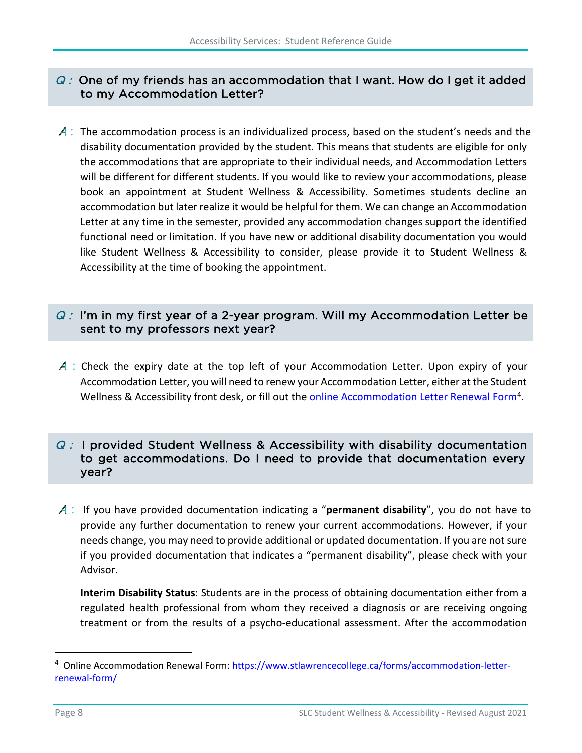#### $Q$ : One of my friends has an accommodation that I want. How do I get it added to my Accommodation Letter?

 $\mathcal A$ : The accommodation process is an individualized process, based on the student's needs and the disability documentation provided by the student. This means that students are eligible for only the accommodations that are appropriate to their individual needs, and Accommodation Letters will be different for different students. If you would like to review your accommodations, please book an appointment at Student Wellness & Accessibility. Sometimes students decline an accommodation but later realize it would be helpful for them. We can change an Accommodation Letter at any time in the semester, provided any accommodation changes support the identified functional need or limitation. If you have new or additional disability documentation you would like Student Wellness & Accessibility to consider, please provide it to Student Wellness & Accessibility at the time of booking the appointment.

#### $Q$ : I'm in my first year of a 2-year program. Will my Accommodation Letter be sent to my professors next year?

A: Check the expiry date at the top left of your Accommodation Letter. Upon expiry of your Accommodation Letter, you will need to renew your Accommodation Letter, either at the Student Wellness & Accessibility front desk, or fill out th[e online Accommodation Letter Renewal Form](https://www.stlawrencecollege.ca/forms/accommodation-letter-renewal-form/)<sup>4</sup>.

#### $Q$ : I provided Student Wellness & Accessibility with disability documentation to get accommodations. Do I need to provide that documentation every year?

<sup>A</sup>: If you have provided documentation indicating a "**permanent disability**", you do not have to provide any further documentation to renew your current accommodations. However, if your needs change, you may need to provide additional or updated documentation. If you are not sure if you provided documentation that indicates a "permanent disability", please check with your Advisor.

**Interim Disability Status**: Students are in the process of obtaining documentation either from a regulated health professional from whom they received a diagnosis or are receiving ongoing treatment or from the results of a psycho-educational assessment. After the accommodation

<span id="page-11-0"></span><sup>4</sup> Online Accommodation Renewal Form: [https://www.stlawrencecollege.ca/forms/accommodation-letter](https://www.stlawrencecollege.ca/forms/accommodation-letter-renewal-form/)[renewal-form/](https://www.stlawrencecollege.ca/forms/accommodation-letter-renewal-form/)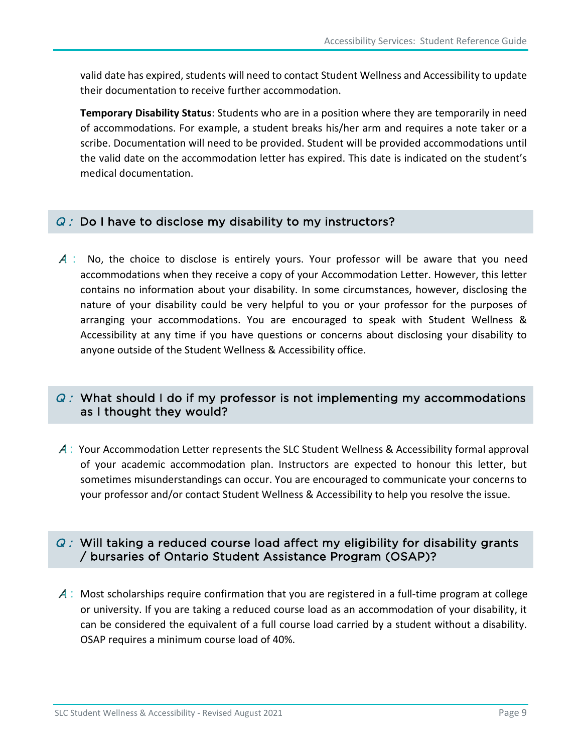valid date has expired, students will need to contact Student Wellness and Accessibility to update their documentation to receive further accommodation.

**Temporary Disability Status**: Students who are in a position where they are temporarily in need of accommodations. For example, a student breaks his/her arm and requires a note taker or a scribe. Documentation will need to be provided. Student will be provided accommodations until the valid date on the accommodation letter has expired. This date is indicated on the student's medical documentation.

#### $Q:$  Do I have to disclose my disability to my instructors?

 $\mathcal A$ : No, the choice to disclose is entirely yours. Your professor will be aware that you need accommodations when they receive a copy of your Accommodation Letter. However, this letter contains no information about your disability. In some circumstances, however, disclosing the nature of your disability could be very helpful to you or your professor for the purposes of arranging your accommodations. You are encouraged to speak with Student Wellness & Accessibility at any time if you have questions or concerns about disclosing your disability to anyone outside of the Student Wellness & Accessibility office.

#### $Q$ : What should I do if my professor is not implementing my accommodations as I thought they would?

<sup>A</sup>: Your Accommodation Letter represents the SLC Student Wellness & Accessibility formal approval of your academic accommodation plan. Instructors are expected to honour this letter, but sometimes misunderstandings can occur. You are encouraged to communicate your concerns to your professor and/or contact Student Wellness & Accessibility to help you resolve the issue.

#### $Q$ : Will taking a reduced course load affect my eligibility for disability grants / bursaries of Ontario Student Assistance Program (OSAP)?

 $\mathcal A$ : Most scholarships require confirmation that you are registered in a full-time program at college or university. If you are taking a reduced course load as an accommodation of your disability, it can be considered the equivalent of a full course load carried by a student without a disability. OSAP requires a minimum course load of 40%.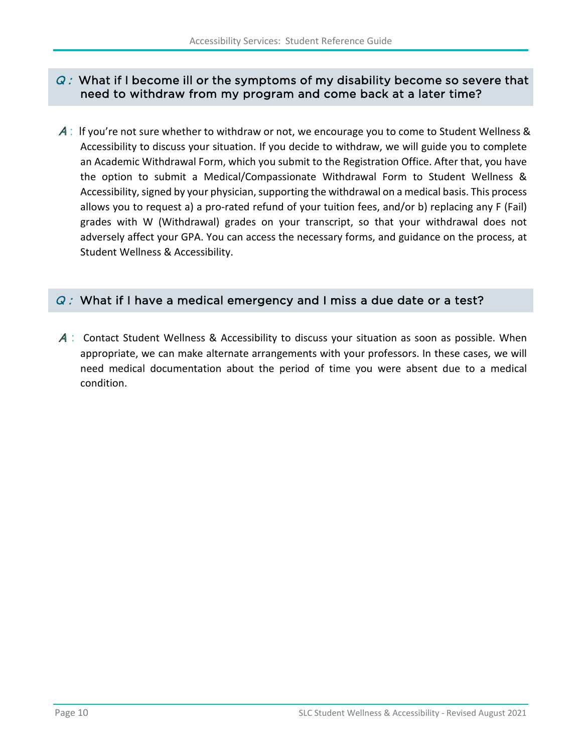#### $Q$  : What if I become ill or the symptoms of my disability become so severe that need to withdraw from my program and come back at a later time?

 $\mathcal{A}$ : If you're not sure whether to withdraw or not, we encourage you to come to Student Wellness & Accessibility to discuss your situation. If you decide to withdraw, we will guide you to complete an Academic Withdrawal Form, which you submit to the Registration Office. After that, you have the option to submit a Medical/Compassionate Withdrawal Form to Student Wellness & Accessibility, signed by your physician, supporting the withdrawal on a medical basis. This process allows you to request a) a pro-rated refund of your tuition fees, and/or b) replacing any F (Fail) grades with W (Withdrawal) grades on your transcript, so that your withdrawal does not adversely affect your GPA. You can access the necessary forms, and guidance on the process, at Student Wellness & Accessibility.

#### $Q$ : What if I have a medical emergency and I miss a due date or a test?

 $\mathcal A$ : Contact Student Wellness & Accessibility to discuss your situation as soon as possible. When appropriate, we can make alternate arrangements with your professors. In these cases, we will need medical documentation about the period of time you were absent due to a medical condition.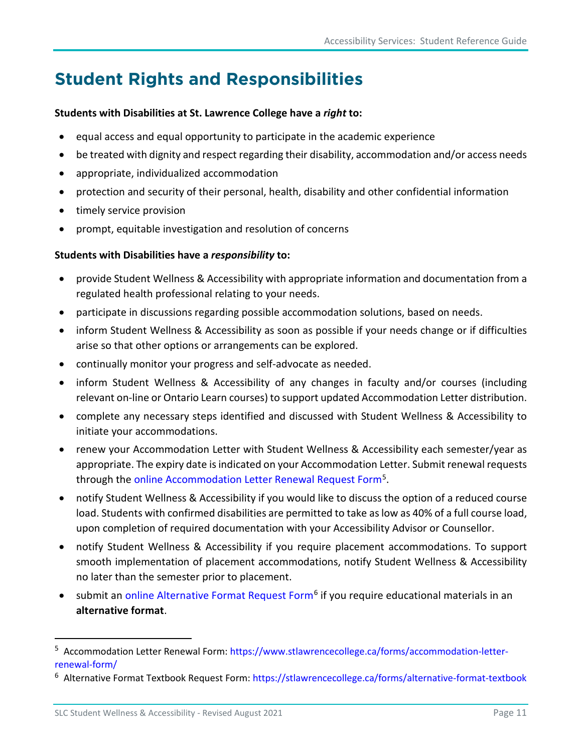# <span id="page-14-0"></span>**Student Rights and Responsibilities**

#### **Students with Disabilities at St. Lawrence College have a** *right* **to:**

- equal access and equal opportunity to participate in the academic experience
- be treated with dignity and respect regarding their disability, accommodation and/or access needs
- appropriate, individualized accommodation
- protection and security of their personal, health, disability and other confidential information
- timely service provision
- prompt, equitable investigation and resolution of concerns

#### **Students with Disabilities have a** *responsibility* **to:**

- provide Student Wellness & Accessibility with appropriate information and documentation from a regulated health professional relating to your needs.
- participate in discussions regarding possible accommodation solutions, based on needs.
- inform Student Wellness & Accessibility as soon as possible if your needs change or if difficulties arise so that other options or arrangements can be explored.
- continually monitor your progress and self-advocate as needed.
- inform Student Wellness & Accessibility of any changes in faculty and/or courses (including relevant on-line or Ontario Learn courses) to support updated Accommodation Letter distribution.
- complete any necessary steps identified and discussed with Student Wellness & Accessibility to initiate your accommodations.
- renew your Accommodation Letter with Student Wellness & Accessibility each semester/year as appropriate. The expiry date is indicated on your Accommodation Letter. Submit renewal requests through the online Accommodation [Letter Renewal Request Form](https://www.stlawrencecollege.ca/forms/accommodation-letter-renewal-form/)[5](#page-14-1).
- notify Student Wellness & Accessibility if you would like to discuss the option of a reduced course load. Students with confirmed disabilities are permitted to take as low as 40% of a full course load, upon completion of required documentation with your Accessibility Advisor or Counsellor.
- notify Student Wellness & Accessibility if you require placement accommodations. To support smooth implementation of placement accommodations, notify Student Wellness & Accessibility no later than the semester prior to placement.
- submit an online Alternative [Format Request Form](https://stlawrencecollege.ca/forms/alternative-format-textbook/)<sup>[6](#page-14-2)</sup> if you require educational materials in an **alternative format**.

<span id="page-14-1"></span><sup>5</sup> Accommodation Letter Renewal Form: [https://www.stlawrencecollege.ca/forms/accommodation-letter](https://www.stlawrencecollege.ca/forms/accommodation-letter-renewal-form/)renewal-form/<br><sup>6</sup> Alternative Format Textbook Request Form:<https://stlawrencecollege.ca/forms/alternative-format-textbook>

<span id="page-14-2"></span>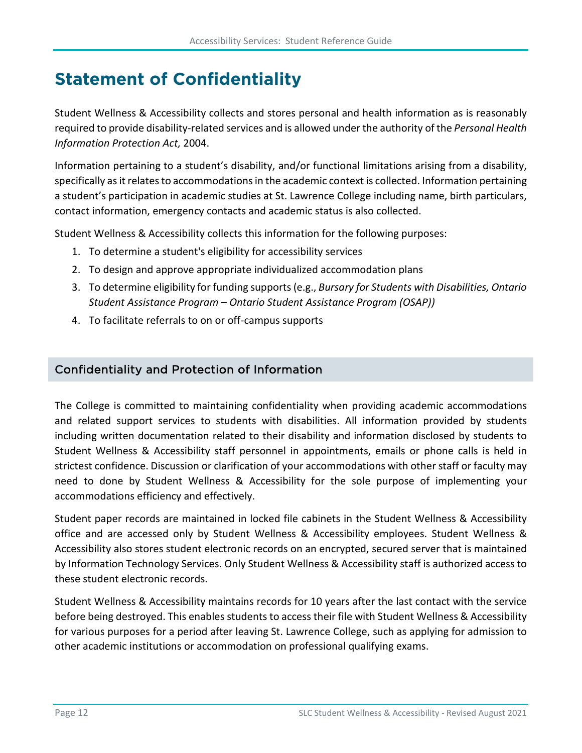# <span id="page-15-0"></span>**Statement of Confidentiality**

Student Wellness & Accessibility collects and stores personal and health information as is reasonably required to provide disability-related services and is allowed under the authority of the *Personal Health Information Protection Act,* 2004.

Information pertaining to a student's disability, and/or functional limitations arising from a disability, specifically as it relates to accommodations in the academic context is collected. Information pertaining a student's participation in academic studies at St. Lawrence College including name, birth particulars, contact information, emergency contacts and academic status is also collected.

Student Wellness & Accessibility collects this information for the following purposes:

- 1. To determine a student's eligibility for accessibility services
- 2. To design and approve appropriate individualized accommodation plans
- 3. To determine eligibility for funding supports (e.g., *Bursary for Students with Disabilities, Ontario Student Assistance Program – Ontario Student Assistance Program (OSAP))*
- 4. To facilitate referrals to on or off-campus supports

#### Confidentiality and Protection of Information

The College is committed to maintaining confidentiality when providing academic accommodations and related support services to students with disabilities. All information provided by students including written documentation related to their disability and information disclosed by students to Student Wellness & Accessibility staff personnel in appointments, emails or phone calls is held in strictest confidence. Discussion or clarification of your accommodations with other staff or faculty may need to done by Student Wellness & Accessibility for the sole purpose of implementing your accommodations efficiency and effectively.

Student paper records are maintained in locked file cabinets in the Student Wellness & Accessibility office and are accessed only by Student Wellness & Accessibility employees. Student Wellness & Accessibility also stores student electronic records on an encrypted, secured server that is maintained by Information Technology Services. Only Student Wellness & Accessibility staff is authorized access to these student electronic records.

Student Wellness & Accessibility maintains records for 10 years after the last contact with the service before being destroyed. This enables students to access their file with Student Wellness & Accessibility for various purposes for a period after leaving St. Lawrence College, such as applying for admission to other academic institutions or accommodation on professional qualifying exams.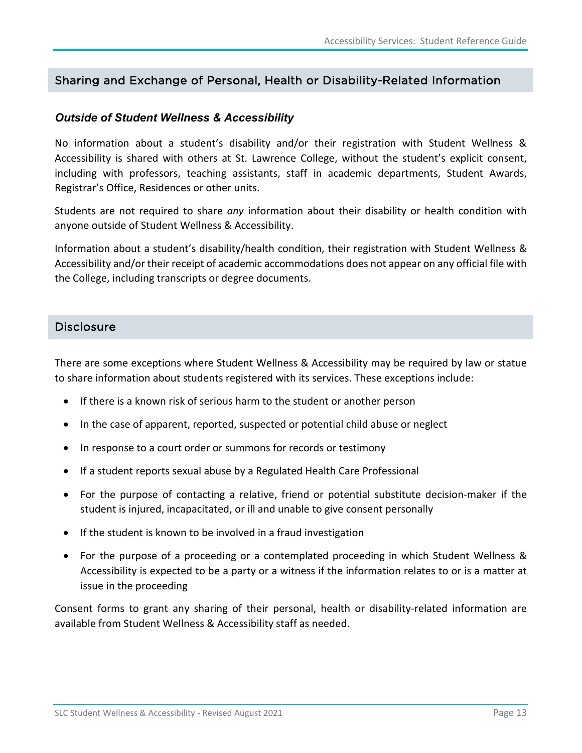#### Sharing and Exchange of Personal, Health or Disability-Related Information

#### *Outside of Student Wellness & Accessibility*

No information about a student's disability and/or their registration with Student Wellness & Accessibility is shared with others at St. Lawrence College, without the student's explicit consent, including with professors, teaching assistants, staff in academic departments, Student Awards, Registrar's Office, Residences or other units.

Students are not required to share *any* information about their disability or health condition with anyone outside of Student Wellness & Accessibility.

Information about a student's disability/health condition, their registration with Student Wellness & Accessibility and/or their receipt of academic accommodations does not appear on any official file with the College, including transcripts or degree documents.

#### **Disclosure**

There are some exceptions where Student Wellness & Accessibility may be required by law or statue to share information about students registered with its services. These exceptions include:

- If there is a known risk of serious harm to the student or another person
- In the case of apparent, reported, suspected or potential child abuse or neglect
- In response to a court order or summons for records or testimony
- If a student reports sexual abuse by a Regulated Health Care Professional
- For the purpose of contacting a relative, friend or potential substitute decision-maker if the student is injured, incapacitated, or ill and unable to give consent personally
- If the student is known to be involved in a fraud investigation
- For the purpose of a proceeding or a contemplated proceeding in which Student Wellness & Accessibility is expected to be a party or a witness if the information relates to or is a matter at issue in the proceeding

Consent forms to grant any sharing of their personal, health or disability-related information are available from Student Wellness & Accessibility staff as needed.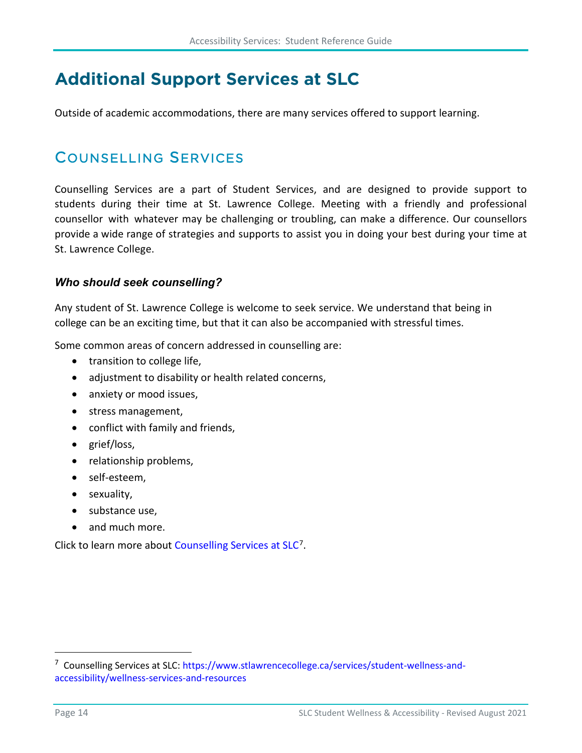# <span id="page-17-0"></span>**Additional Support Services at SLC**

Outside of academic accommodations, there are many services offered to support learning.

### <span id="page-17-1"></span>COUNSELLING SERVICES

Counselling Services are a part of Student Services, and are designed to provide support to students during their time at St. Lawrence College. Meeting with a friendly and professional counsellor with whatever may be challenging or troubling, can make a difference. Our counsellors provide a wide range of strategies and supports to assist you in doing your best during your time at St. Lawrence College.

#### *Who should seek counselling?*

Any student of St. Lawrence College is welcome to seek service. We understand that being in college can be an exciting time, but that it can also be accompanied with stressful times.

Some common areas of concern addressed in counselling are:

- transition to college life,
- adjustment to disability or health related concerns,
- anxiety or mood issues,
- stress management,
- conflict with family and friends,
- grief/loss,
- relationship problems,
- self-esteem,
- sexuality,
- substance use.
- and much more.

Click to learn more abou[t Counselling Services at SLC](https://www.stlawrencecollege.ca/services/student-wellness-and-accessibility/wellness-services-and-resources)<sup>[7](#page-17-2)</sup>.

<span id="page-17-2"></span><sup>7</sup> Counselling Services at SLC: [https://www.stlawrencecollege.ca/services/student-wellness-and](https://www.stlawrencecollege.ca/services/student-wellness-and-accessibility/wellness-services-and-resources)[accessibility/wellness-services-and-resources](https://www.stlawrencecollege.ca/services/student-wellness-and-accessibility/wellness-services-and-resources)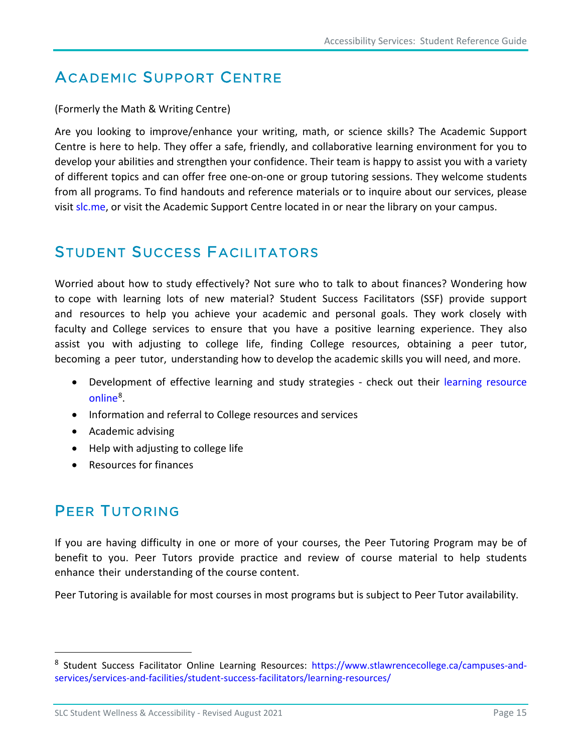### <span id="page-18-0"></span>ACADEMIC SUPPORT CENTRE

#### (Formerly the Math & Writing Centre)

Are you looking to improve/enhance your writing, math, or science skills? The Academic Support Centre is here to help. They offer a safe, friendly, and collaborative learning environment for you to develop your abilities and strengthen your confidence. Their team is happy to assist you with a variety of different topics and can offer free one-on-one or group tutoring sessions. They welcome students from all programs. To find handouts and reference materials or to inquire about our services, please visit [slc.me,](https://slc.me/) or visit the Academic Support Centre located in or near the library on your campus.

### <span id="page-18-1"></span>STUDENT SUCCESS FACILITATORS

Worried about how to study effectively? Not sure who to talk to about finances? Wondering how to cope with learning lots of new material? Student Success Facilitators (SSF) provide support and resources to help you achieve your academic and personal goals. They work closely with faculty and College services to ensure that you have a positive learning experience. They also assist you with adjusting to college life, finding College resources, obtaining a peer tutor, becoming a peer tutor, understanding how to develop the academic skills you will need, and more.

- Development of effective learning and study strategies check out their [learning resource](https://www.stlawrencecollege.ca/campuses-and-services/services-and-facilities/student-success-facilitators/learning-resources/) [online](https://www.stlawrencecollege.ca/campuses-and-services/services-and-facilities/student-success-facilitators/learning-resources/)<sup>8</sup>.
- Information and referral to College resources and services
- Academic advising
- Help with adjusting to college life
- Resources for finances

### <span id="page-18-2"></span>PEER TUTORING

If you are having difficulty in one or more of your courses, the Peer Tutoring Program may be of benefit to you. Peer Tutors provide practice and review of course material to help students enhance their understanding of the course content.

Peer Tutoring is available for most courses in most programs but is subject to Peer Tutor availability.

<span id="page-18-3"></span><sup>8</sup> Student Success Facilitator Online Learning Resources: [https://www.stlawrencecollege.ca/campuses-and](https://www.stlawrencecollege.ca/campuses-and-services/services-and-facilities/student-success-facilitators/learning-resources/)[services/services-and-facilities/student-success-facilitators/learning-resources/](https://www.stlawrencecollege.ca/campuses-and-services/services-and-facilities/student-success-facilitators/learning-resources/) 

SLC Student Wellness & Accessibility - Revised August 2021 **Page 15** Page 15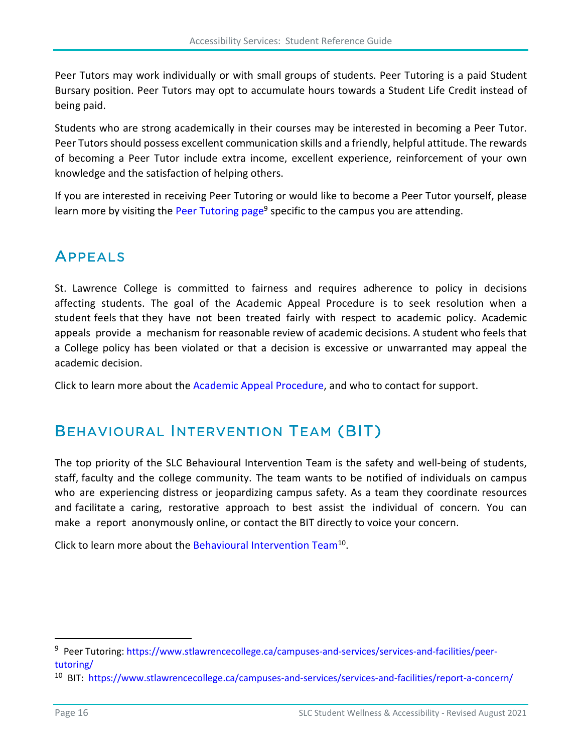Peer Tutors may work individually or with small groups of students. Peer Tutoring is a paid Student Bursary position. Peer Tutors may opt to accumulate hours towards a Student Life Credit instead of being paid.

Students who are strong academically in their courses may be interested in becoming a Peer Tutor. Peer Tutors should possess excellent communication skills and a friendly, helpful attitude. The rewards of becoming a Peer Tutor include extra income, excellent experience, reinforcement of your own knowledge and the satisfaction of helping others.

If you are interested in receiving Peer Tutoring or would like to become a Peer Tutor yourself, please learn more by visiting the [Peer Tutoring page](https://www.stlawrencecollege.ca/campuses-and-services/services-and-facilities/peer-tutoring/)<sup>[9](#page-19-2)</sup> specific to the campus you are attending.

### <span id="page-19-0"></span>APPEALS

St. Lawrence College is committed to fairness and requires adherence to policy in decisions affecting students. The goal of the Academic Appeal Procedure is to seek resolution when a student feels that they have not been treated fairly with respect to academic policy. Academic appeals provide a mechanism for reasonable review of academic decisions. A student who feels that a College policy has been violated or that a decision is excessive or unwarranted may appeal the academic decision.

<span id="page-19-1"></span>Click to learn more about the [Academic Appeal Procedure,](https://www.stlawrencecollege.ca/about/college-reports-and-policies/academic-policies/academic-appeals/) and who to contact for support.

### BEHAVIOURAL INTERVENTION TEAM (BIT)

The top priority of the SLC Behavioural Intervention Team is the safety and well-being of students, staff, faculty and the college community. The team wants to be notified of individuals on campus who are experiencing distress or jeopardizing campus safety. As a team they coordinate resources and facilitate a caring, restorative approach to best assist the individual of concern. You can make a report anonymousl[y online, or contact the BIT direc](https://www.stlawrencecollege.ca/campuses-and-services/services-and-facilities/report-a-concern/)tly to voice your concern.

Click to learn more about the Behavioural Intervention Team<sup>[10](#page-19-3)</sup>.

<span id="page-19-2"></span><sup>&</sup>lt;sup>9</sup> Peer Tutoring: [https://www.stlawrencecollege.ca/campuses-and-services/services-and-facilities/peer-](https://www.stlawrencecollege.ca/campuses-and-services/services-and-facilities/peer-tutoring/)

<span id="page-19-3"></span>tutoring/<br><sup>10</sup> BIT: <https://www.stlawrencecollege.ca/campuses-and-services/services-and-facilities/report-a-concern/>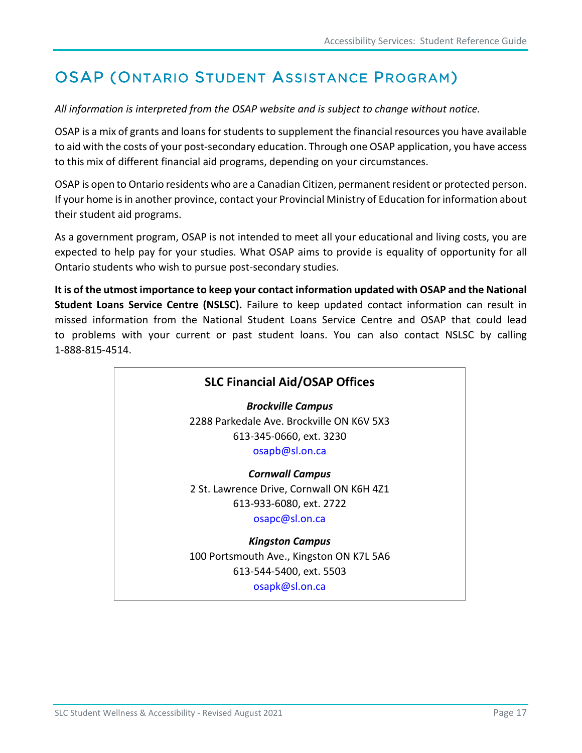# <span id="page-20-0"></span>OSAP (ONTARIO STUDENT ASSISTANCE PROGRAM)

*All information is interpreted from the OSAP website and is subject to change without notice.*

OSAP is a mix of grants and loans for students to supplement the financial resources you have available to aid with the costs of your post-secondary education. Through one OSAP application, you have access to this mix of different financial aid programs, depending on your circumstances.

OSAP is open to Ontario residents who are a Canadian Citizen, permanent resident or protected person. If your home is in another province, contact your Provincial Ministry of Education for information about their student aid programs.

As a government program, OSAP is not intended to meet all your educational and living costs, you are expected to help pay for your studies. What OSAP aims to provide is equality of opportunity for all Ontario students who wish to pursue post-secondary studies.

**It is of the utmost importance to keep your contact information updated with [OSAP](https://www.ontario.ca/page/osap-ontario-student-assistance-program) and th[e National](https://csnpe-nslsc.cibletudes-canlearn.ca/Eng/Default.aspx)  [Student Loans Service Centre](https://csnpe-nslsc.cibletudes-canlearn.ca/Eng/Default.aspx) (NSLSC).** Failure to keep updated contact information can result in missed information from the National Student Loans Service Centre and OSAP that could lead to problems with your current or past student loans. You can also contact NSLSC by calling 1-888-815-4514.

### **SLC Financial Aid/OSAP Offices** *Brockville Campus* 2288 Parkedale Ave. Brockville ON K6V 5X3 613-345-0660, ext. 3230 [osapb@sl.on.ca](mailto:osapb@sl.on.ca) *Cornwall Campus* 2 St. Lawrence Drive, Cornwall ON K6H 4Z1 613-933-6080, ext. 2722 [osapc@sl.on.ca](mailto:osapc@sl.on.ca) *Kingston Campus* 100 Portsmouth Ave., Kingston ON K7L 5A6 613-544-5400, ext. 5503 [osapk@sl.on.ca](mailto:osapk@sl.on.ca)